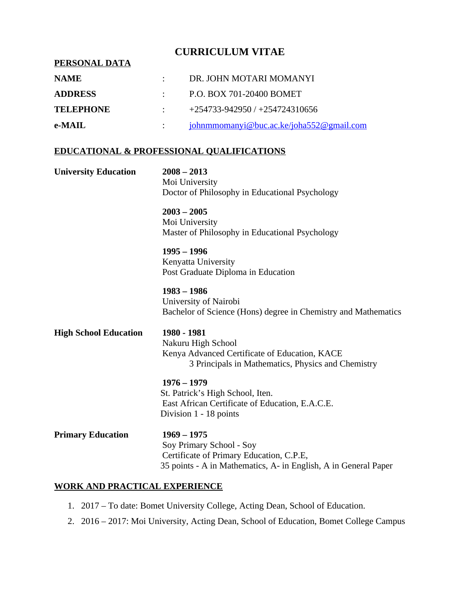### **CURRICULUM VITAE**

# **PERSONAL DATA NAME** : DR. JOHN MOTARI MOMANYI **ADDRESS** : P.O. BOX 701-20400 BOMET **TELEPHONE** : +254733-942950 / +254724310656 **e-MAIL** : [johnmmomanyi@buc.ac.ke](mailto:johnmmomanyi@buc.ac.ke)/joha552@gmail.com

## **EDUCATIONAL & PROFESSIONAL QUALIFICATIONS**

| <b>University Education</b>  | $2008 - 2013$<br>Moi University<br>Doctor of Philosophy in Educational Psychology                                                                        |
|------------------------------|----------------------------------------------------------------------------------------------------------------------------------------------------------|
|                              | $2003 - 2005$<br>Moi University<br>Master of Philosophy in Educational Psychology                                                                        |
|                              | $1995 - 1996$<br>Kenyatta University<br>Post Graduate Diploma in Education                                                                               |
|                              | $1983 - 1986$<br>University of Nairobi<br>Bachelor of Science (Hons) degree in Chemistry and Mathematics                                                 |
| <b>High School Education</b> | 1980 - 1981<br>Nakuru High School<br>Kenya Advanced Certificate of Education, KACE<br>3 Principals in Mathematics, Physics and Chemistry                 |
|                              | $1976 - 1979$<br>St. Patrick's High School, Iten.<br>East African Certificate of Education, E.A.C.E.<br>Division 1 - 18 points                           |
| <b>Primary Education</b>     | $1969 - 1975$<br>Soy Primary School - Soy<br>Certificate of Primary Education, C.P.E,<br>35 points - A in Mathematics, A- in English, A in General Paper |

#### **WORK AND PRACTICAL EXPERIENCE**

- 1. 2017 To date: Bomet University College, Acting Dean, School of Education.
- 2. 2016 2017: Moi University, Acting Dean, School of Education, Bomet College Campus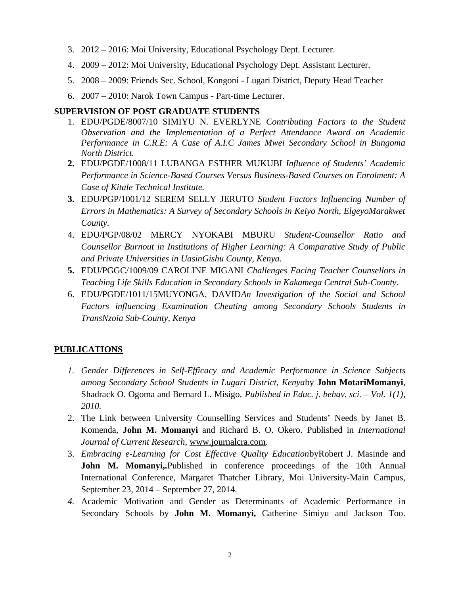- 3. 2012 2016: Moi University, Educational Psychology Dept. Lecturer.
- 4. 2009 2012: Moi University, Educational Psychology Dept. Assistant Lecturer.
- 5. 2008 2009: Friends Sec. School, Kongoni Lugari District, Deputy Head Teacher
- 6. 2007 2010: Narok Town Campus Part-time Lecturer.

#### **SUPERVISION OF POST GRADUATE STUDENTS**

- 1. EDU/PGDE/8007/10 SIMIYU N. EVERLYNE *Contributing Factors to the Student Observation and the Implementation of a Perfect Attendance Award on Academic Performance in C.R.E: A Case of A.I.C James Mwei Secondary School in Bungoma North District.*
- **2.** EDU/PGDE/1008/11 LUBANGA ESTHER MUKUBI *Influence of Students' Academic Performance in Science-Based Courses Versus Business-Based Courses on Enrolment: A Case of Kitale Technical Institute.*
- **3.** EDU/PGP/1001/12 SEREM SELLY JERUTO *Student Factors Influencing Number of Errors in Mathematics: A Survey of Secondary Schools in Keiyo North, ElgeyoMarakwet County.*
- 4. EDU/PGP/08/02 MERCY NYOKABI MBURU *Student-Counsellor Ratio and Counsellor Burnout in Institutions of Higher Learning: A Comparative Study of Public and Private Universities in UasinGishu County, Kenya.*
- **5.** EDU/PGGC/1009/09 CAROLINE MIGANI *Challenges Facing Teacher Counsellors in Teaching Life Skills Education in Secondary Schools in Kakamega Central Sub-County.*
- 6. EDU/PGDE/1011/15MUYONGA, DAVID*An Investigation of the Social and School Factors influencing Examination Cheating among Secondary Schools Students in TransNzoia Sub-County, Kenya*

#### **PUBLICATIONS**

- *1. Gender Differences in Self-Efficacy and Academic Performance in Science Subjects among Secondary School Students in Lugari District, Kenya*by **John MotariMomanyi**, Shadrack O. Ogoma and Bernard L. Misigo. *Published in Educ. j. behav. sci. – Vol. 1(1), 2010.*
- 2. The Link between University Counselling Services and Students' Needs by Janet B. Komenda, **John M. Momanyi** and Richard B. O. Okero. Published in *International Journal of Current Research*, www.journalcra.com.
- 3. *Embracing e-Learning for Cost Effective Quality Education*byRobert J. Masinde and **John M. Momanyi,.**Published in conference proceedings of the 10th Annual International Conference, Margaret Thatcher Library, Moi University-Main Campus, September 23, 2014 – September 27, 2014.
- *4.* Academic Motivation and Gender as Determinants of Academic Performance in Secondary Schools by **John M. Momanyi,** Catherine Simiyu and Jackson Too.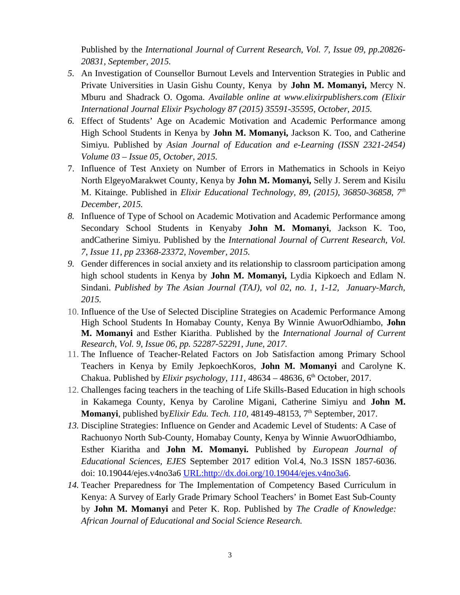Published by the *International Journal of Current Research, Vol. 7, Issue 09, pp.20826- 20831, September, 2015.*

- *5.* An Investigation of Counsellor Burnout Levels and Intervention Strategies in Public and Private Universities in Uasin Gishu County, Kenya by **John M. Momanyi,** Mercy N. Mburu and Shadrack O. Ogoma. *Available online at www.elixirpublishers.com (Elixir International Journal Elixir Psychology 87 (2015) 35591-35595, October, 2015.*
- *6.* Effect of Students' Age on Academic Motivation and Academic Performance among High School Students in Kenya by **John M. Momanyi,** Jackson K. Too, and Catherine Simiyu. Published by *Asian Journal of Education and e-Learning (ISSN 2321-2454) Volume 03 – Issue 05, October, 2015.*
- 7. Influence of Test Anxiety on Number of Errors in Mathematics in Schools in Keiyo North ElgeyoMarakwet County, Kenya by **John M. Momanyi,** Selly J. Serem and Kisilu M. Kitainge. Published in *Elixir Educational Technology, 89, (2015), 36850-36858, 7th December, 2015.*
- *8.* Influence of Type of School on Academic Motivation and Academic Performance among Secondary School Students in Kenyaby **John M. Momanyi**, Jackson K. Too, andCatherine Simiyu. Published by the *International Journal of Current Research, Vol. 7, Issue 11, pp 23368-23372, November, 2015.*
- *9.* Gender differences in social anxiety and its relationship to classroom participation among high school students in Kenya by **John M. Momanyi,** Lydia Kipkoech and Edlam N. Sindani. *Published by The Asian Journal (TAJ), vol 02, no. 1, 1-12, January-March, 2015.*
- 10. Influence of the Use of Selected Discipline Strategies on Academic Performance Among High School Students In Homabay County, Kenya By Winnie AwuorOdhiambo, **John M. Momanyi** and Esther Kiaritha. Published by the *International Journal of Current Research, Vol. 9, Issue 06, pp. 52287-52291, June, 2017.*
- 11. The Influence of Teacher-Related Factors on Job Satisfaction among Primary School Teachers in Kenya by Emily JepkoechKoros, **John M. Momanyi** and Carolyne K. Chakua. Published by *Elixir psychology*,  $111$ ,  $48634 - 48636$ ,  $6<sup>th</sup>$  October, 2017.
- 12. Challenges facing teachers in the teaching of Life Skills-Based Education in high schools in Kakamega County, Kenya by Caroline Migani, Catherine Simiyu and **John M. Momanyi**, published by*Elixir Edu. Tech. 110*, 48149-48153, 7<sup>th</sup> September, 2017.
- *13.* Discipline Strategies: Influence on Gender and Academic Level of Students: A Case of Rachuonyo North Sub-County, Homabay County, Kenya by Winnie AwuorOdhiambo, Esther Kiaritha and **John M. Momanyi.** Published by *European Journal of Educational Sciences, EJES* September 2017 edition Vol.4, No.3 ISSN 1857-6036. doi: 10.19044/ejes.v4no3a6 [URL:http://dx.doi.org/10.19044/ejes.v4no3a6](url:http://dx.doi.org/10.19044/ejes.v4no3a6).
- *14.* Teacher Preparedness for The Implementation of Competency Based Curriculum in Kenya: A Survey of Early Grade Primary School Teachers' in Bomet East Sub-County by **John M. Momanyi** and Peter K. Rop. Published by *The Cradle of Knowledge: African Journal of Educational and Social Science Research.*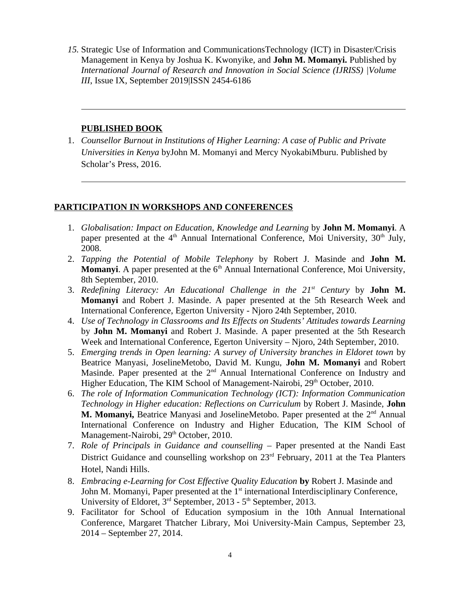*15.* Strategic Use of Information and CommunicationsTechnology (ICT) in Disaster/Crisis Management in Kenya by Joshua K. Kwonyike, and **John M. Momanyi.** Published by *International Journal of Research and Innovation in Social Science (IJRISS) |Volume III*, Issue IX, September 2019|ISSN 2454-6186

#### **PUBLISHED BOOK**

1. *Counsellor Burnout in Institutions of Higher Learning: A case of Public and Private Universities in Kenya* byJohn M. Momanyi and Mercy NyokabiMburu. Published by Scholar's Press, 2016.

#### **PARTICIPATION IN WORKSHOPS AND CONFERENCES**

- 1. *Globalisation: Impact on Education, Knowledge and Learning* by **John M. Momanyi**. A paper presented at the  $4<sup>th</sup>$  Annual International Conference, Moi University,  $30<sup>th</sup>$  July, 2008.
- 2. *Tapping the Potential of Mobile Telephony* by Robert J. Masinde and **John M. Momanyi**. A paper presented at the 6<sup>th</sup> Annual International Conference, Moi University, 8th September, 2010.
- 3. *Redefining Literacy: An Educational Challenge in the 21st Century* by **John M. Momanyi** and Robert J. Masinde. A paper presented at the 5th Research Week and International Conference, Egerton University - Njoro 24th September, 2010.
- 4. *Use of Technology in Classrooms and Its Effects on Students' Attitudes towards Learning* by **John M. Momanyi** and Robert J. Masinde. A paper presented at the 5th Research Week and International Conference, Egerton University – Njoro, 24th September, 2010.
- 5. *Emerging trends in Open learning: A survey of University branches in Eldoret town* by Beatrice Manyasi, JoselineMetobo, David M. Kungu, **John M. Momanyi** and Robert Masinde. Paper presented at the 2<sup>nd</sup> Annual International Conference on Industry and Higher Education, The KIM School of Management-Nairobi, 29<sup>th</sup> October, 2010.
- 6. *The role of Information Communication Technology (ICT): Information Communication Technology in Higher education: Reflections on Curriculum* by Robert J. Masinde, **John M. Momanyi,** Beatrice Manyasi and JoselineMetobo. Paper presented at the 2<sup>nd</sup> Annual International Conference on Industry and Higher Education, The KIM School of Management-Nairobi, 29<sup>th</sup> October, 2010.
- 7. *Role of Principals in Guidance and counselling* Paper presented at the Nandi East District Guidance and counselling workshop on  $23<sup>rd</sup>$  February, 2011 at the Tea Planters Hotel, Nandi Hills.
- 8. *Embracing e-Learning for Cost Effective Quality Education* **by** Robert J. Masinde and John M. Momanyi, Paper presented at the 1<sup>st</sup> international Interdisciplinary Conference, University of Eldoret,  $3<sup>rd</sup>$  September, 2013 -  $5<sup>th</sup>$  September, 2013.
- 9. Facilitator for School of Education symposium in the 10th Annual International Conference, Margaret Thatcher Library, Moi University-Main Campus, September 23, 2014 – September 27, 2014.